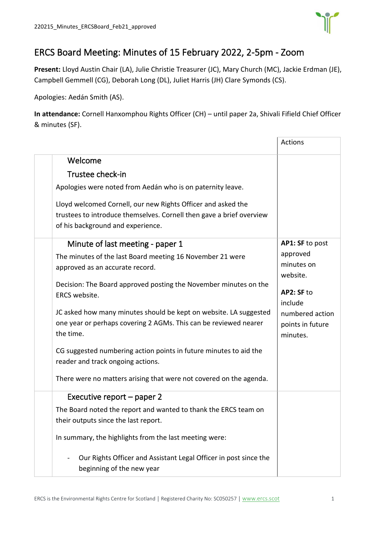

# ERCS Board Meeting: Minutes of 15 February 2022, 2-5pm - Zoom

**Present:** Lloyd Austin Chair (LA), Julie Christie Treasurer (JC), Mary Church (MC), Jackie Erdman (JE), Campbell Gemmell (CG), Deborah Long (DL), Juliet Harris (JH) Clare Symonds (CS).

Apologies: Aedán Smith (AS).

**In attendance:** Cornell Hanxomphou Rights Officer (CH) – until paper 2a, Shivali Fifield Chief Officer & minutes (SF).

|                                                                                                                                                                           | Actions                                         |
|---------------------------------------------------------------------------------------------------------------------------------------------------------------------------|-------------------------------------------------|
| Welcome                                                                                                                                                                   |                                                 |
| Trustee check-in                                                                                                                                                          |                                                 |
| Apologies were noted from Aedán who is on paternity leave.                                                                                                                |                                                 |
| Lloyd welcomed Cornell, our new Rights Officer and asked the<br>trustees to introduce themselves. Cornell then gave a brief overview<br>of his background and experience. |                                                 |
| Minute of last meeting - paper 1                                                                                                                                          | AP1: SF to post                                 |
| The minutes of the last Board meeting 16 November 21 were<br>approved as an accurate record.                                                                              | approved<br>minutes on<br>website.              |
| Decision: The Board approved posting the November minutes on the<br>ERCS website.                                                                                         | AP2: SF to<br>include                           |
| JC asked how many minutes should be kept on website. LA suggested<br>one year or perhaps covering 2 AGMs. This can be reviewed nearer<br>the time.                        | numbered action<br>points in future<br>minutes. |
| CG suggested numbering action points in future minutes to aid the<br>reader and track ongoing actions.                                                                    |                                                 |
| There were no matters arising that were not covered on the agenda.                                                                                                        |                                                 |
| Executive report – paper 2                                                                                                                                                |                                                 |
| The Board noted the report and wanted to thank the ERCS team on<br>their outputs since the last report.                                                                   |                                                 |
| In summary, the highlights from the last meeting were:                                                                                                                    |                                                 |
| Our Rights Officer and Assistant Legal Officer in post since the<br>beginning of the new year                                                                             |                                                 |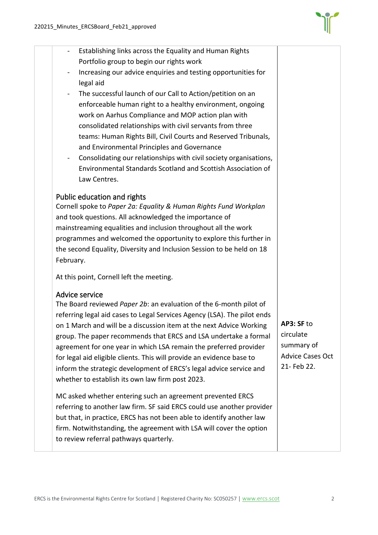

| Establishing links across the Equality and Human Rights<br>Portfolio group to begin our rights work |  |
|-----------------------------------------------------------------------------------------------------|--|
| Increasing our advice enquiries and testing opportunities for<br>$\blacksquare$                     |  |
| legal aid                                                                                           |  |
| The successful launch of our Call to Action/petition on an<br>$\blacksquare$                        |  |
| enforceable human right to a healthy environment, ongoing                                           |  |
| work on Aarhus Compliance and MOP action plan with                                                  |  |
| consolidated relationships with civil servants from three                                           |  |
| teams: Human Rights Bill, Civil Courts and Reserved Tribunals,                                      |  |
| and Environmental Principles and Governance                                                         |  |
| Consolidating our relationships with civil society organisations,<br>$\qquad \qquad \blacksquare$   |  |
| Environmental Standards Scotland and Scottish Association of                                        |  |
| Law Centres.                                                                                        |  |
| Public education and rights                                                                         |  |
| Cornell spoke to Paper 2a: Equality & Human Rights Fund Workplan                                    |  |
| and took questions. All acknowledged the importance of                                              |  |
| mainstreaming equalities and inclusion throughout all the work                                      |  |
| programmes and welcomed the opportunity to explore this further in                                  |  |
| the second Equality, Diversity and Inclusion Session to be held on 18                               |  |

February.

At this point, Cornell left the meeting.

### Advice service

The Board reviewed *Paper 2b*: an evaluation of the 6-month pilot of referring legal aid cases to Legal Services Agency (LSA). The pilot ends on 1 March and will be a discussion item at the next Advice Working group. The paper recommends that ERCS and LSA undertake a formal agreement for one year in which LSA remain the preferred provider for legal aid eligible clients. This will provide an evidence base to inform the strategic development of ERCS's legal advice service and whether to establish its own law firm post 2023.

MC asked whether entering such an agreement prevented ERCS referring to another law firm. SF said ERCS could use another provider but that, in practice, ERCS has not been able to identify another law firm. Notwithstanding, the agreement with LSA will cover the option to review referral pathways quarterly.

**AP3: SF** to circulate summary of Advice Cases Oct 21- Feb 22.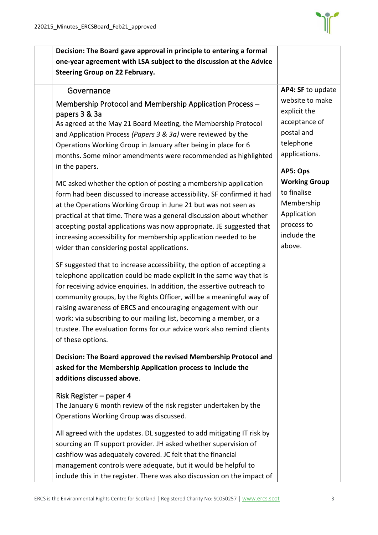

**Decision: The Board gave approval in principle to entering a formal one-year agreement with LSA subject to the discussion at the Advice Steering Group on 22 February.** 

## **Governance**

# Membership Protocol and Membership Application Process – papers 3 & 3a

As agreed at the May 21 Board Meeting, the Membership Protocol and Application Process *(Papers 3 & 3a)* were reviewed by the Operations Working Group in January after being in place for 6 months. Some minor amendments were recommended as highlighted in the papers.

MC asked whether the option of posting a membership application form had been discussed to increase accessibility. SF confirmed it had at the Operations Working Group in June 21 but was not seen as practical at that time. There was a general discussion about whether accepting postal applications was now appropriate. JE suggested that increasing accessibility for membership application needed to be wider than considering postal applications.

SF suggested that to increase accessibility, the option of accepting a telephone application could be made explicit in the same way that is for receiving advice enquiries. In addition, the assertive outreach to community groups, by the Rights Officer, will be a meaningful way of raising awareness of ERCS and encouraging engagement with our work: via subscribing to our mailing list, becoming a member, or a trustee. The evaluation forms for our advice work also remind clients of these options.

**Decision: The Board approved the revised Membership Protocol and asked for the Membership Application process to include the additions discussed above**.

### Risk Register – paper 4

The January 6 month review of the risk register undertaken by the Operations Working Group was discussed.

All agreed with the updates. DL suggested to add mitigating IT risk by sourcing an IT support provider. JH asked whether supervision of cashflow was adequately covered. JC felt that the financial management controls were adequate, but it would be helpful to include this in the register. There was also discussion on the impact of **AP4: SF** to update website to make explicit the acceptance of postal and telephone applications.

**AP5: Ops Working Group** to finalise Membership Application process to include the above.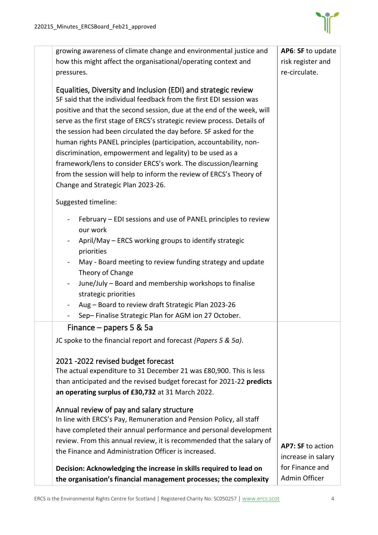

| growing awareness of climate change and environmental justice and                                                                                                                                                                                                                                                                                                                                                                                                                                                                                                                                                                                                                                                                                                         | AP6: SF to update                     |
|---------------------------------------------------------------------------------------------------------------------------------------------------------------------------------------------------------------------------------------------------------------------------------------------------------------------------------------------------------------------------------------------------------------------------------------------------------------------------------------------------------------------------------------------------------------------------------------------------------------------------------------------------------------------------------------------------------------------------------------------------------------------------|---------------------------------------|
| how this might affect the organisational/operating context and                                                                                                                                                                                                                                                                                                                                                                                                                                                                                                                                                                                                                                                                                                            | risk register and                     |
| pressures.                                                                                                                                                                                                                                                                                                                                                                                                                                                                                                                                                                                                                                                                                                                                                                | re-circulate.                         |
| Equalities, Diversity and Inclusion (EDI) and strategic review<br>SF said that the individual feedback from the first EDI session was<br>positive and that the second session, due at the end of the week, will<br>serve as the first stage of ERCS's strategic review process. Details of<br>the session had been circulated the day before. SF asked for the<br>human rights PANEL principles (participation, accountability, non-<br>discrimination, empowerment and legality) to be used as a<br>framework/lens to consider ERCS's work. The discussion/learning<br>from the session will help to inform the review of ERCS's Theory of<br>Change and Strategic Plan 2023-26.<br>Suggested timeline:<br>February - EDI sessions and use of PANEL principles to review |                                       |
| our work                                                                                                                                                                                                                                                                                                                                                                                                                                                                                                                                                                                                                                                                                                                                                                  |                                       |
| April/May – ERCS working groups to identify strategic<br>priorities                                                                                                                                                                                                                                                                                                                                                                                                                                                                                                                                                                                                                                                                                                       |                                       |
| May - Board meeting to review funding strategy and update                                                                                                                                                                                                                                                                                                                                                                                                                                                                                                                                                                                                                                                                                                                 |                                       |
| Theory of Change                                                                                                                                                                                                                                                                                                                                                                                                                                                                                                                                                                                                                                                                                                                                                          |                                       |
| June/July – Board and membership workshops to finalise<br>strategic priorities                                                                                                                                                                                                                                                                                                                                                                                                                                                                                                                                                                                                                                                                                            |                                       |
| Aug - Board to review draft Strategic Plan 2023-26<br>$\blacksquare$                                                                                                                                                                                                                                                                                                                                                                                                                                                                                                                                                                                                                                                                                                      |                                       |
| Sep-Finalise Strategic Plan for AGM ion 27 October.                                                                                                                                                                                                                                                                                                                                                                                                                                                                                                                                                                                                                                                                                                                       |                                       |
| Finance $-$ papers 5 & 5a                                                                                                                                                                                                                                                                                                                                                                                                                                                                                                                                                                                                                                                                                                                                                 |                                       |
| JC spoke to the financial report and forecast (Papers 5 & 5a).                                                                                                                                                                                                                                                                                                                                                                                                                                                                                                                                                                                                                                                                                                            |                                       |
| 2021 -2022 revised budget forecast<br>The actual expenditure to 31 December 21 was £80,900. This is less<br>than anticipated and the revised budget forecast for 2021-22 predicts<br>an operating surplus of £30,732 at 31 March 2022.                                                                                                                                                                                                                                                                                                                                                                                                                                                                                                                                    |                                       |
| Annual review of pay and salary structure<br>In line with ERCS's Pay, Remuneration and Pension Policy, all staff                                                                                                                                                                                                                                                                                                                                                                                                                                                                                                                                                                                                                                                          |                                       |
| have completed their annual performance and personal development                                                                                                                                                                                                                                                                                                                                                                                                                                                                                                                                                                                                                                                                                                          |                                       |
| review. From this annual review, it is recommended that the salary of                                                                                                                                                                                                                                                                                                                                                                                                                                                                                                                                                                                                                                                                                                     |                                       |
| the Finance and Administration Officer is increased.                                                                                                                                                                                                                                                                                                                                                                                                                                                                                                                                                                                                                                                                                                                      | AP7: SF to action                     |
| Decision: Acknowledging the increase in skills required to lead on                                                                                                                                                                                                                                                                                                                                                                                                                                                                                                                                                                                                                                                                                                        | increase in salary<br>for Finance and |
| the organisation's financial management processes; the complexity                                                                                                                                                                                                                                                                                                                                                                                                                                                                                                                                                                                                                                                                                                         | Admin Officer                         |
|                                                                                                                                                                                                                                                                                                                                                                                                                                                                                                                                                                                                                                                                                                                                                                           |                                       |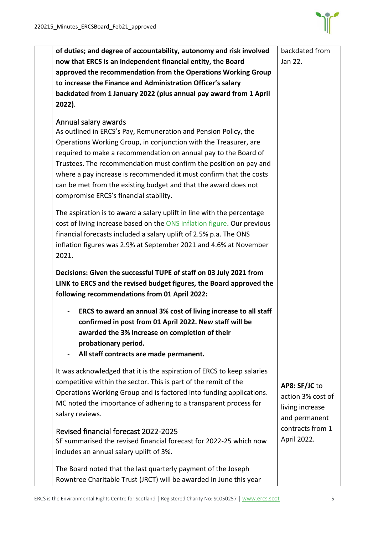

| of duties; and degree of accountability, autonomy and risk involved                                                                                                                                                                                                                                                                                                                                                                          | backdated from                                                         |
|----------------------------------------------------------------------------------------------------------------------------------------------------------------------------------------------------------------------------------------------------------------------------------------------------------------------------------------------------------------------------------------------------------------------------------------------|------------------------------------------------------------------------|
| now that ERCS is an independent financial entity, the Board                                                                                                                                                                                                                                                                                                                                                                                  | Jan 22.                                                                |
| approved the recommendation from the Operations Working Group                                                                                                                                                                                                                                                                                                                                                                                |                                                                        |
| to increase the Finance and Administration Officer's salary                                                                                                                                                                                                                                                                                                                                                                                  |                                                                        |
| backdated from 1 January 2022 (plus annual pay award from 1 April                                                                                                                                                                                                                                                                                                                                                                            |                                                                        |
| 2022).                                                                                                                                                                                                                                                                                                                                                                                                                                       |                                                                        |
| Annual salary awards<br>As outlined in ERCS's Pay, Remuneration and Pension Policy, the<br>Operations Working Group, in conjunction with the Treasurer, are<br>required to make a recommendation on annual pay to the Board of<br>Trustees. The recommendation must confirm the position on pay and<br>where a pay increase is recommended it must confirm that the costs<br>can be met from the existing budget and that the award does not |                                                                        |
| compromise ERCS's financial stability.<br>The aspiration is to award a salary uplift in line with the percentage<br>cost of living increase based on the ONS inflation figure. Our previous<br>financial forecasts included a salary uplift of 2.5% p.a. The ONS<br>inflation figures was 2.9% at September 2021 and 4.6% at November<br>2021.                                                                                               |                                                                        |
| Decisions: Given the successful TUPE of staff on 03 July 2021 from<br>LINK to ERCS and the revised budget figures, the Board approved the<br>following recommendations from 01 April 2022:                                                                                                                                                                                                                                                   |                                                                        |
| ERCS to award an annual 3% cost of living increase to all staff<br>confirmed in post from 01 April 2022. New staff will be<br>awarded the 3% increase on completion of their<br>probationary period.<br>All staff contracts are made permanent.<br>$\blacksquare$                                                                                                                                                                            |                                                                        |
| It was acknowledged that it is the aspiration of ERCS to keep salaries<br>competitive within the sector. This is part of the remit of the<br>Operations Working Group and is factored into funding applications.<br>MC noted the importance of adhering to a transparent process for<br>salary reviews.                                                                                                                                      | AP8: SF/JC to<br>action 3% cost of<br>living increase<br>and permanent |
| Revised financial forecast 2022-2025<br>SF summarised the revised financial forecast for 2022-25 which now<br>includes an annual salary uplift of 3%.                                                                                                                                                                                                                                                                                        | contracts from 1<br>April 2022.                                        |
| The Board noted that the last quarterly payment of the Joseph<br>Rowntree Charitable Trust (JRCT) will be awarded in June this year                                                                                                                                                                                                                                                                                                          |                                                                        |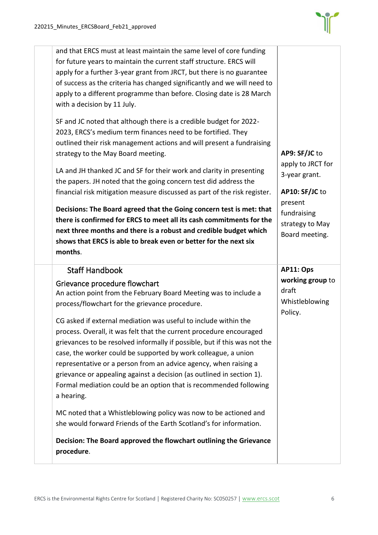

| and that ERCS must at least maintain the same level of core funding<br>for future years to maintain the current staff structure. ERCS will<br>apply for a further 3-year grant from JRCT, but there is no guarantee<br>of success as the criteria has changed significantly and we will need to<br>apply to a different programme than before. Closing date is 28 March<br>with a decision by 11 July.                                                                                                                                                                                                                                      |                                                                                  |
|---------------------------------------------------------------------------------------------------------------------------------------------------------------------------------------------------------------------------------------------------------------------------------------------------------------------------------------------------------------------------------------------------------------------------------------------------------------------------------------------------------------------------------------------------------------------------------------------------------------------------------------------|----------------------------------------------------------------------------------|
| SF and JC noted that although there is a credible budget for 2022-<br>2023, ERCS's medium term finances need to be fortified. They<br>outlined their risk management actions and will present a fundraising<br>strategy to the May Board meeting.<br>LA and JH thanked JC and SF for their work and clarity in presenting<br>the papers. JH noted that the going concern test did address the<br>financial risk mitigation measure discussed as part of the risk register.                                                                                                                                                                  | AP9: SF/JC to<br>apply to JRCT for<br>3-year grant.<br>AP10: SF/JC to<br>present |
| there is confirmed for ERCS to meet all its cash commitments for the<br>next three months and there is a robust and credible budget which<br>shows that ERCS is able to break even or better for the next six<br>months.                                                                                                                                                                                                                                                                                                                                                                                                                    | fundraising<br>strategy to May<br>Board meeting.                                 |
| <b>Staff Handbook</b><br>Grievance procedure flowchart                                                                                                                                                                                                                                                                                                                                                                                                                                                                                                                                                                                      | AP11: Ops                                                                        |
| An action point from the February Board Meeting was to include a<br>process/flowchart for the grievance procedure.<br>CG asked if external mediation was useful to include within the<br>process. Overall, it was felt that the current procedure encouraged<br>grievances to be resolved informally if possible, but if this was not the<br>case, the worker could be supported by work colleague, a union<br>representative or a person from an advice agency, when raising a<br>grievance or appealing against a decision (as outlined in section 1).<br>Formal mediation could be an option that is recommended following<br>a hearing. | working group to<br>draft<br>Whistleblowing<br>Policy.                           |
|                                                                                                                                                                                                                                                                                                                                                                                                                                                                                                                                                                                                                                             | Decisions: The Board agreed that the Going concern test is met: that             |